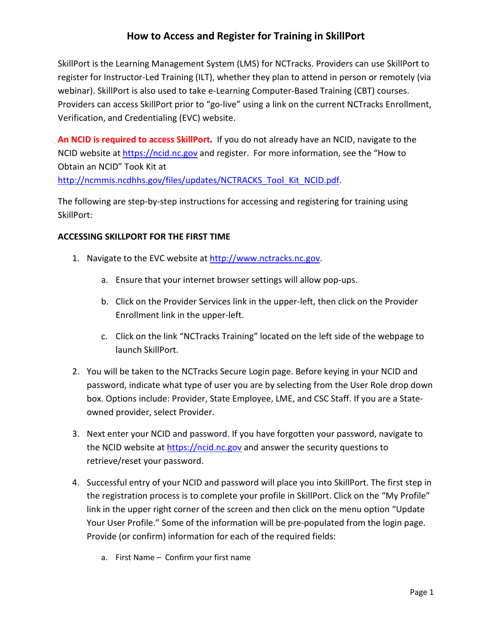SkillPort is the Learning Management System (LMS) for NCTracks. Providers can use SkillPort to register for Instructor-Led Training (ILT), whether they plan to attend in person or remotely (via webinar). SkillPort is also used to take e-Learning Computer-Based Training (CBT) courses. Providers can access SkillPort prior to "go-live" using a link on the current NCTracks Enrollment, Verification, and Credentialing (EVC) website.

**An NCID is required to access SkillPort.** If you do not already have an NCID, navigate to the NCID website a[t https://ncid.nc.gov](https://ncid.nc.gov/) and register. For more information, see the "How to Obtain an NCID" Took Kit at [http://ncmmis.ncdhhs.gov/files/updates/NCTRACKS\\_Tool\\_Kit\\_NCID.pdf.](http://ncmmis.ncdhhs.gov/files/updates/NCTRACKS_Tool_Kit_NCID.pdf)

The following are step-by-step instructions for accessing and registering for training using SkillPort:

### **ACCESSING SKILLPORT FOR THE FIRST TIME**

- 1. Navigate to the EVC website at [http://www.nctracks.nc.gov.](http://www.nctracks.nc.gov/)
	- a. Ensure that your internet browser settings will allow pop-ups.
	- b. Click on the Provider Services link in the upper-left, then click on the Provider Enrollment link in the upper-left.
	- c. Click on the link "NCTracks Training" located on the left side of the webpage to launch SkillPort.
- 2. You will be taken to the NCTracks Secure Login page. Before keying in your NCID and password, indicate what type of user you are by selecting from the User Role drop down box. Options include: Provider, State Employee, LME, and CSC Staff. If you are a Stateowned provider, select Provider.
- 3. Next enter your NCID and password. If you have forgotten your password, navigate to the NCID website at [https://ncid.nc.gov](https://ncid.nc.gov/) and answer the security questions to retrieve/reset your password.
- 4. Successful entry of your NCID and password will place you into SkillPort. The first step in the registration process is to complete your profile in SkillPort. Click on the "My Profile" link in the upper right corner of the screen and then click on the menu option "Update Your User Profile." Some of the information will be pre-populated from the login page. Provide (or confirm) information for each of the required fields:
	- a. First Name Confirm your first name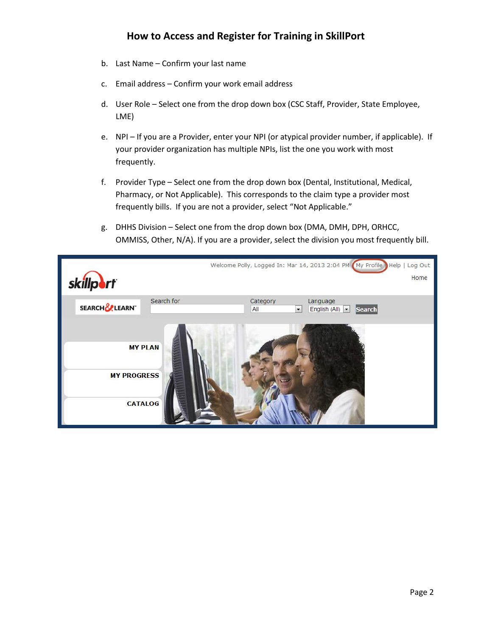- b. Last Name Confirm your last name
- c. Email address Confirm your work email address
- d. User Role Select one from the drop down box (CSC Staff, Provider, State Employee, LME)
- e. NPI If you are a Provider, enter your NPI (or atypical provider number, if applicable). If your provider organization has multiple NPIs, list the one you work with most frequently.
- f. Provider Type Select one from the drop down box (Dental, Institutional, Medical, Pharmacy, or Not Applicable). This corresponds to the claim type a provider most frequently bills. If you are not a provider, select "Not Applicable."
- g. DHHS Division Select one from the drop down box (DMA, DMH, DPH, ORHCC, OMMISS, Other, N/A). If you are a provider, select the division you most frequently bill.

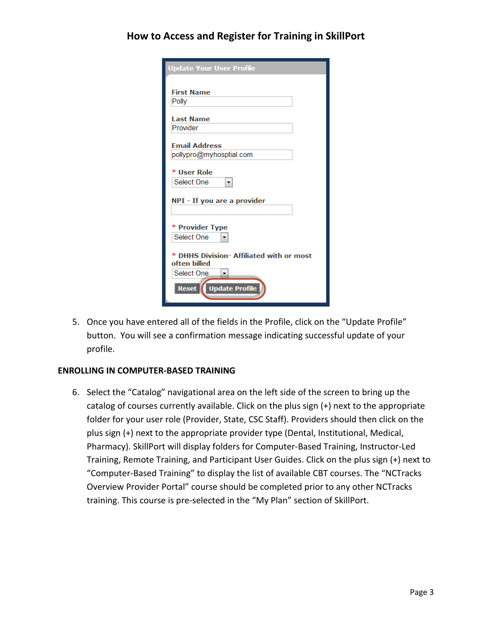| <b>Update Your User Profile</b>          |
|------------------------------------------|
|                                          |
| <b>First Name</b>                        |
| Polly                                    |
| <b>Last Name</b>                         |
| Provider                                 |
|                                          |
| <b>Email Address</b>                     |
| pollypro@myhosptial.com                  |
| * User Role                              |
| Select One<br>$\blacktriangledown$       |
|                                          |
| NPI - If you are a provider              |
|                                          |
|                                          |
| * Provider Type<br>Select One            |
|                                          |
| * DHHS Division- Affiliated with or most |
| often billed                             |
| Select One                               |
| Reset Update Profile                     |
|                                          |
|                                          |

5. Once you have entered all of the fields in the Profile, click on the "Update Profile" button. You will see a confirmation message indicating successful update of your profile.

### **ENROLLING IN COMPUTER-BASED TRAINING**

6. Select the "Catalog" navigational area on the left side of the screen to bring up the catalog of courses currently available. Click on the plus sign (+) next to the appropriate folder for your user role (Provider, State, CSC Staff). Providers should then click on the plus sign (+) next to the appropriate provider type (Dental, Institutional, Medical, Pharmacy). SkillPort will display folders for Computer-Based Training, Instructor-Led Training, Remote Training, and Participant User Guides. Click on the plus sign (+) next to "Computer-Based Training" to display the list of available CBT courses. The "NCTracks Overview Provider Portal" course should be completed prior to any other NCTracks training. This course is pre-selected in the "My Plan" section of SkillPort.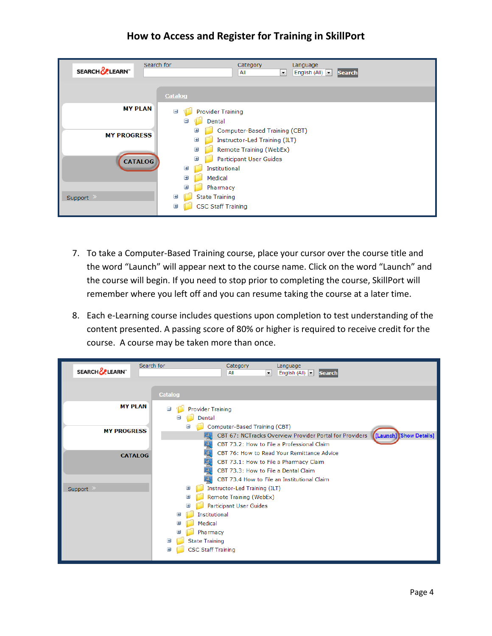| Search for<br>SEARCH & LEARN                           | Category<br>Language<br>English (All)  <br>All<br>$\blacktriangledown$<br><b>Search</b>                                                                                                                                                         |
|--------------------------------------------------------|-------------------------------------------------------------------------------------------------------------------------------------------------------------------------------------------------------------------------------------------------|
|                                                        | <b>Catalog</b>                                                                                                                                                                                                                                  |
| <b>MY PLAN</b><br><b>MY PROGRESS</b><br><b>CATALOG</b> | <b>Provider Training</b><br>Ξ<br>Dental<br>Ξ<br>Computer-Based Training (CBT)<br>Ξ<br>Ŧ<br>Instructor-Led Training (ILT)<br>Ξ<br>Remote Training (WebEx)<br>Participant User Guides<br>Ŧ<br>Ŧ<br>Institutional<br>E<br>Medical<br>Ξ<br>Pharmacy |
| Support $\rightarrow$                                  | <b>State Training</b><br>Ŧ<br><b>CSC Staff Training</b><br>Ŧ                                                                                                                                                                                    |

- 7. To take a Computer-Based Training course, place your cursor over the course title and the word "Launch" will appear next to the course name. Click on the word "Launch" and the course will begin. If you need to stop prior to completing the course, SkillPort will remember where you left off and you can resume taking the course at a later time.
- 8. Each e-Learning course includes questions upon completion to test understanding of the content presented. A passing score of 80% or higher is required to receive credit for the course. A course may be taken more than once.

| SEARCH LEARN"         | Search for                                        | Category<br>All<br>$\vert \cdot \vert$                                                                                       | Language<br>English (All) v Search                      |                               |
|-----------------------|---------------------------------------------------|------------------------------------------------------------------------------------------------------------------------------|---------------------------------------------------------|-------------------------------|
|                       | <b>Catalog</b>                                    |                                                                                                                              |                                                         |                               |
| <b>MY PLAN</b>        | <b>Provider Training</b><br>Ξ<br>Dental<br>Ξ<br>Θ |                                                                                                                              |                                                         |                               |
| <b>MY PROGRESS</b>    | த                                                 | Computer-Based Training (CBT)<br>CBT 73.2: How to File a Professional Claim                                                  | CBT 67: NCTracks Overview Provider Portal for Providers | <b>[Launch]</b> Show Details] |
| <b>CATALOG</b>        | 鸟<br>Ą<br>鸟                                       | CBT 76: How to Read Your Remittance Advice<br>CBT 73.1: How to File a Pharmacy Claim<br>CBT 73.3: How to File a Dental Claim |                                                         |                               |
|                       |                                                   | CBT 73.4 How to File an Institutional Claim                                                                                  |                                                         |                               |
| Support $\rightarrow$ | Ξ                                                 | Instructor-Led Training (ILT)                                                                                                |                                                         |                               |
|                       | ⊞<br>E                                            | Remote Training (WebEx)<br>Participant User Guides                                                                           |                                                         |                               |
|                       | Institutional<br>Ŧ                                |                                                                                                                              |                                                         |                               |
|                       | Medical<br>Ξ                                      |                                                                                                                              |                                                         |                               |
|                       | Pharmacy                                          |                                                                                                                              |                                                         |                               |
|                       | <b>State Training</b><br>田                        |                                                                                                                              |                                                         |                               |
|                       | <b>CSC Staff Training</b><br>Ξ                    |                                                                                                                              |                                                         |                               |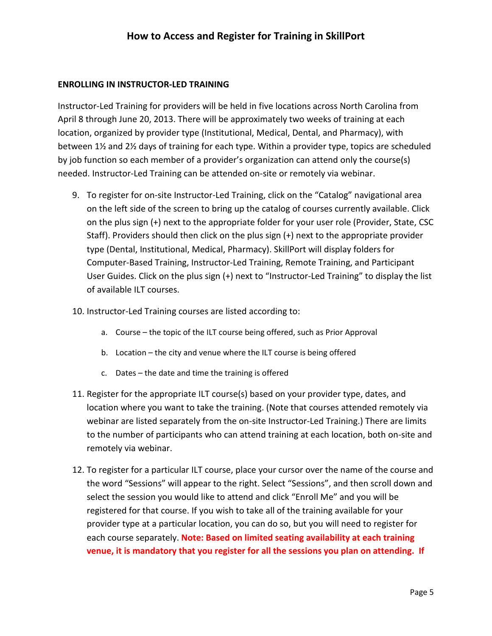#### **ENROLLING IN INSTRUCTOR-LED TRAINING**

Instructor-Led Training for providers will be held in five locations across North Carolina from April 8 through June 20, 2013. There will be approximately two weeks of training at each location, organized by provider type (Institutional, Medical, Dental, and Pharmacy), with between 1½ and 2½ days of training for each type. Within a provider type, topics are scheduled by job function so each member of a provider's organization can attend only the course(s) needed. Instructor-Led Training can be attended on-site or remotely via webinar.

- 9. To register for on-site Instructor-Led Training, click on the "Catalog" navigational area on the left side of the screen to bring up the catalog of courses currently available. Click on the plus sign (+) next to the appropriate folder for your user role (Provider, State, CSC Staff). Providers should then click on the plus sign (+) next to the appropriate provider type (Dental, Institutional, Medical, Pharmacy). SkillPort will display folders for Computer-Based Training, Instructor-Led Training, Remote Training, and Participant User Guides. Click on the plus sign (+) next to "Instructor-Led Training" to display the list of available ILT courses.
- 10. Instructor-Led Training courses are listed according to:
	- a. Course the topic of the ILT course being offered, such as Prior Approval
	- b. Location the city and venue where the ILT course is being offered
	- c. Dates the date and time the training is offered
- 11. Register for the appropriate ILT course(s) based on your provider type, dates, and location where you want to take the training. (Note that courses attended remotely via webinar are listed separately from the on-site Instructor-Led Training.) There are limits to the number of participants who can attend training at each location, both on-site and remotely via webinar.
- 12. To register for a particular ILT course, place your cursor over the name of the course and the word "Sessions" will appear to the right. Select "Sessions", and then scroll down and select the session you would like to attend and click "Enroll Me" and you will be registered for that course. If you wish to take all of the training available for your provider type at a particular location, you can do so, but you will need to register for each course separately. **Note: Based on limited seating availability at each training venue, it is mandatory that you register for all the sessions you plan on attending. If**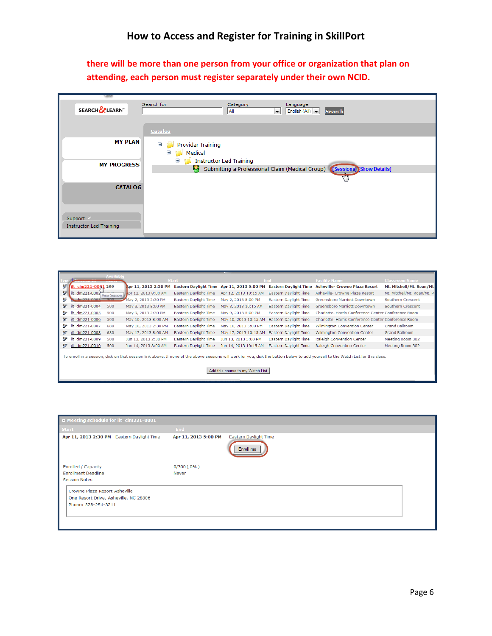**there will be more than one person from your office or organization that plan on attending, each person must register separately under their own NCID.**

| SEARCH & LEARN"                                         | Search for<br>Category<br>Language<br>English (All)  <br>All<br><b>Search</b><br>$\blacksquare$    |
|---------------------------------------------------------|----------------------------------------------------------------------------------------------------|
|                                                         | Catalog                                                                                            |
| <b>MY PLAN</b>                                          | <b>Provider Training</b><br>$\equiv$<br>Medical<br>$\equiv$<br><b>Instructor Led Training</b><br>Ξ |
| <b>MY PROGRESS</b>                                      | Ю.<br>Submitting a Professional Claim (Medical Group) (Sessions) Show Details]<br>ਕਾਧ              |
| <b>CATALOG</b>                                          |                                                                                                    |
| Support $\rightarrow$<br><b>Instructor Led Training</b> |                                                                                                    |

|    | <b>Availah</b>                                                                                                                                                                      |                     |                      |                       |                                            |                              |                                                    |                             |
|----|-------------------------------------------------------------------------------------------------------------------------------------------------------------------------------------|---------------------|----------------------|-----------------------|--------------------------------------------|------------------------------|----------------------------------------------------|-----------------------------|
|    |                                                                                                                                                                                     |                     |                      | <b>Start</b>          |                                            | End                          | <b>Facility Name</b>                               | <b>Classroom Name</b>       |
| ಿ  | ilt_clm221-0001 299                                                                                                                                                                 |                     | Apr 11, 2013 2:30 PM |                       | Eastern Daylight Time Apr 11, 2013 5:00 PM | <b>Eastern Daylight Time</b> | <b>Asheville- Crowne Plaza Resort</b>              | Mt. Mitchell/Mt. Roan/Mt.   |
| ಿ  | clm221-0002                                                                                                                                                                         | <b>View Session</b> | pr 12, 2013 8:00 AM  | Eastern Daylight Time | Apr 12, 2013 10:15 AM                      | Eastern Daylight Time        | Asheville- Crowne Plaza Resort                     | Mt. Mitchell/Mt. Roan/Mt. P |
| ⅋  | $-$ clm221-0003                                                                                                                                                                     | $-500$              | May 2, 2013 2:30 PM  | Eastern Daylight Time | May 2, 2013 5:00 PM                        | Eastern Daylight Time        | Greensboro Marriott Downtown                       | Southern Crescent           |
| 逻  | ilt clm221-0004                                                                                                                                                                     | 500                 | May 3, 2013 8:00 AM  | Eastern Daylight Time | May 3, 2013 10:15 AM                       | Eastern Daylight Time        | Greensboro Marriott Downtown                       | Southern Crescent           |
| ₩  | ilt_clm221-0005                                                                                                                                                                     | 500                 | May 9, 2013 2:30 PM  | Eastern Daylight Time | May 9, 2013 5:00 PM                        | Eastern Daylight Time        | Charlotte-Harris Conference Center Conference Room |                             |
|    | <b>&amp; ilt clm221-0006</b>                                                                                                                                                        | 500                 | May 10, 2013 8:00 AM | Eastern Daylight Time | May 10, 2013 10:15 AM                      | Eastern Davlight Time        | Charlotte-Harris Conference Center Conference Room |                             |
| 87 | ilt_clm221-0007                                                                                                                                                                     | 680                 | May 16, 2013 2:30 PM | Eastern Daylight Time | May 16, 2013 5:00 PM                       | <b>Eastern Daylight Time</b> | <b>Wilmington Convention Center</b>                | <b>Grand Ballroom</b>       |
|    | <b>&amp; ilt clm221-0008</b>                                                                                                                                                        | 680                 | May 17, 2013 8:00 AM | Eastern Daylight Time | May 17, 2013 10:15 AM                      | Eastern Daylight Time        | <b>Wilmington Convention Center</b>                | <b>Grand Ballroom</b>       |
| ₩  | ilt clm221-0009                                                                                                                                                                     | 500                 | Jun 13, 2013 2:30 PM | Eastern Daylight Time | Jun 13, 2013 5:00 PM                       | Eastern Daylight Time        | Raleigh Convention Center                          | Meeting Room 302            |
|    | <b><i>V</i></b> it clm221-0010                                                                                                                                                      | 500                 | Jun 14, 2013 8:00 AM | Eastern Daylight Time | Jun 14, 2013 10:15 AM                      | Eastern Daylight Time        | <b>Raleigh Convention Center</b>                   | Meeting Room 302            |
|    | To enroll in a session, click on that session link above. If none of the above sessions will work for you, click the button below to add yourself to the Watch List for this class. |                     |                      |                       |                                            |                              |                                                    |                             |
|    | Add this course to my Watch List                                                                                                                                                    |                     |                      |                       |                                            |                              |                                                    |                             |

| <b>Start</b><br>End<br>Apr 11, 2013 2:30 PM Eastern Daylight Time<br>Eastern Daylight Time<br>Apr 11, 2013 5:00 PM<br>Enroll me<br><b>Enrolled / Capacity</b><br>$0/300(0\%)$<br><b>Enrollment Deadline</b><br>Never<br><b>Session Notes</b><br>Crowne Plaza Resort Asheville<br>One Resort Drive, Asheville, NC 28806<br>Phone: 828-254-3211 | Meeting schedule for ilt_clm221-0001 |  |  |  |  |
|-----------------------------------------------------------------------------------------------------------------------------------------------------------------------------------------------------------------------------------------------------------------------------------------------------------------------------------------------|--------------------------------------|--|--|--|--|
|                                                                                                                                                                                                                                                                                                                                               |                                      |  |  |  |  |
|                                                                                                                                                                                                                                                                                                                                               |                                      |  |  |  |  |
|                                                                                                                                                                                                                                                                                                                                               |                                      |  |  |  |  |
|                                                                                                                                                                                                                                                                                                                                               |                                      |  |  |  |  |
|                                                                                                                                                                                                                                                                                                                                               |                                      |  |  |  |  |
|                                                                                                                                                                                                                                                                                                                                               |                                      |  |  |  |  |
|                                                                                                                                                                                                                                                                                                                                               |                                      |  |  |  |  |
|                                                                                                                                                                                                                                                                                                                                               |                                      |  |  |  |  |
|                                                                                                                                                                                                                                                                                                                                               |                                      |  |  |  |  |
|                                                                                                                                                                                                                                                                                                                                               |                                      |  |  |  |  |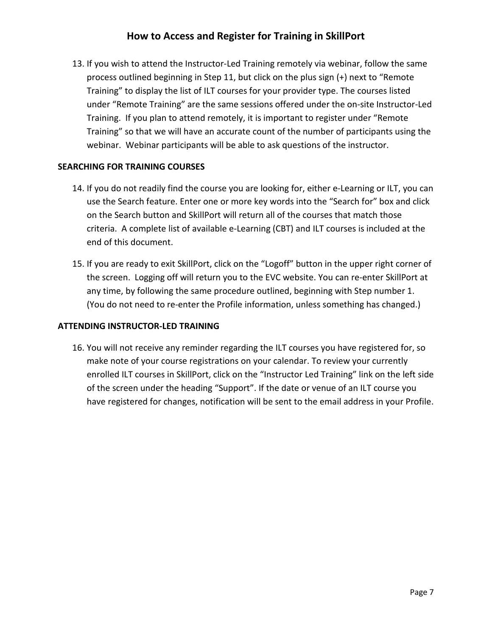13. If you wish to attend the Instructor-Led Training remotely via webinar, follow the same process outlined beginning in Step 11, but click on the plus sign (+) next to "Remote Training" to display the list of ILT courses for your provider type. The courses listed under "Remote Training" are the same sessions offered under the on-site Instructor-Led Training. If you plan to attend remotely, it is important to register under "Remote Training" so that we will have an accurate count of the number of participants using the webinar. Webinar participants will be able to ask questions of the instructor.

### **SEARCHING FOR TRAINING COURSES**

- 14. If you do not readily find the course you are looking for, either e-Learning or ILT, you can use the Search feature. Enter one or more key words into the "Search for" box and click on the Search button and SkillPort will return all of the courses that match those criteria. A complete list of available e-Learning (CBT) and ILT courses is included at the end of this document.
- 15. If you are ready to exit SkillPort, click on the "Logoff" button in the upper right corner of the screen. Logging off will return you to the EVC website. You can re-enter SkillPort at any time, by following the same procedure outlined, beginning with Step number 1. (You do not need to re-enter the Profile information, unless something has changed.)

### **ATTENDING INSTRUCTOR-LED TRAINING**

16. You will not receive any reminder regarding the ILT courses you have registered for, so make note of your course registrations on your calendar. To review your currently enrolled ILT courses in SkillPort, click on the "Instructor Led Training" link on the left side of the screen under the heading "Support". If the date or venue of an ILT course you have registered for changes, notification will be sent to the email address in your Profile.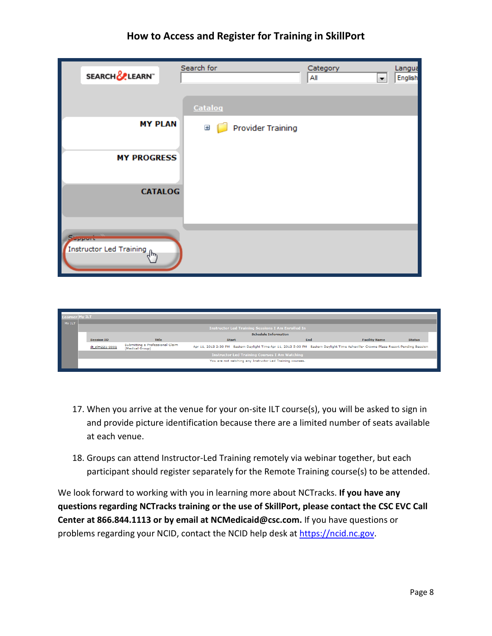| SEARCH & LEARN"                        | Search for             | Category<br>All<br>×. | Langua<br>English |
|----------------------------------------|------------------------|-----------------------|-------------------|
|                                        | Catalog                |                       |                   |
| <b>MY PLAN</b>                         | Provider Training<br>Ŧ |                       |                   |
| <b>MY PROGRESS</b>                     |                        |                       |                   |
| <b>CATALOG</b>                         |                        |                       |                   |
| Instructor Led Training <sub>thy</sub> |                        |                       |                   |

| Learner My ILT |                                                                                            |                                                    |                                                                                                                                      |                             |  |  |  |  |  |
|----------------|--------------------------------------------------------------------------------------------|----------------------------------------------------|--------------------------------------------------------------------------------------------------------------------------------------|-----------------------------|--|--|--|--|--|
| My ILT         |                                                                                            |                                                    |                                                                                                                                      |                             |  |  |  |  |  |
|                |                                                                                            |                                                    | <b>Instructor Led Training Sessions I Am Enrolled In</b>                                                                             |                             |  |  |  |  |  |
|                |                                                                                            |                                                    |                                                                                                                                      | <b>Schedule Information</b> |  |  |  |  |  |
|                | Title<br><b>Facility Name</b><br>End<br><b>Session ID</b><br><b>Start</b><br><b>Status</b> |                                                    |                                                                                                                                      |                             |  |  |  |  |  |
|                | ilt_clm221-0001                                                                            | Submitting a Professional Claim<br>(Medical Group) | Apr 11, 2013 2:30 PM Eastern Daylight Time Apr 11, 2013 5:00 PM Eastern Daylight Time Asheville- Crowne Plaza Resort Pending Session |                             |  |  |  |  |  |
|                | <b>Instructor Led Training Courses I Am Watching</b>                                       |                                                    |                                                                                                                                      |                             |  |  |  |  |  |
|                | You are not watching any Instructor Led Training courses.                                  |                                                    |                                                                                                                                      |                             |  |  |  |  |  |
|                |                                                                                            |                                                    |                                                                                                                                      |                             |  |  |  |  |  |

- 17. When you arrive at the venue for your on-site ILT course(s), you will be asked to sign in and provide picture identification because there are a limited number of seats available at each venue.
- 18. Groups can attend Instructor-Led Training remotely via webinar together, but each participant should register separately for the Remote Training course(s) to be attended.

We look forward to working with you in learning more about NCTracks. **If you have any questions regarding NCTracks training or the use of SkillPort, please contact the CSC EVC Call Center at 866.844.1113 or by email at NCMedicaid@csc.com.** If you have questions or problems regarding your NCID, contact the NCID help desk a[t https://ncid.nc.gov.](https://ncid.nc.gov/)